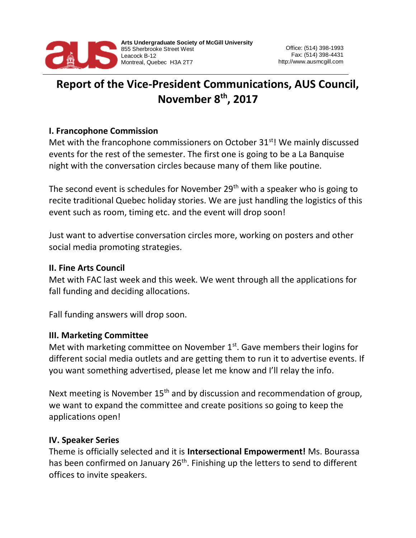

# **Report of the Vice-President Communications, AUS Council, November 8th, 2017**

## **I. Francophone Commission**

Met with the francophone commissioners on October  $31<sup>st</sup>$ ! We mainly discussed events for the rest of the semester. The first one is going to be a La Banquise night with the conversation circles because many of them like poutine.

The second event is schedules for November  $29<sup>th</sup>$  with a speaker who is going to recite traditional Quebec holiday stories. We are just handling the logistics of this event such as room, timing etc. and the event will drop soon!

Just want to advertise conversation circles more, working on posters and other social media promoting strategies.

#### **II. Fine Arts Council**

Met with FAC last week and this week. We went through all the applications for fall funding and deciding allocations.

Fall funding answers will drop soon.

## **III. Marketing Committee**

Met with marketing committee on November  $1<sup>st</sup>$ . Gave members their logins for different social media outlets and are getting them to run it to advertise events. If you want something advertised, please let me know and I'll relay the info.

Next meeting is November 15<sup>th</sup> and by discussion and recommendation of group, we want to expand the committee and create positions so going to keep the applications open!

#### **IV. Speaker Series**

Theme is officially selected and it is **Intersectional Empowerment!** Ms. Bourassa has been confirmed on January 26<sup>th</sup>. Finishing up the letters to send to different offices to invite speakers.